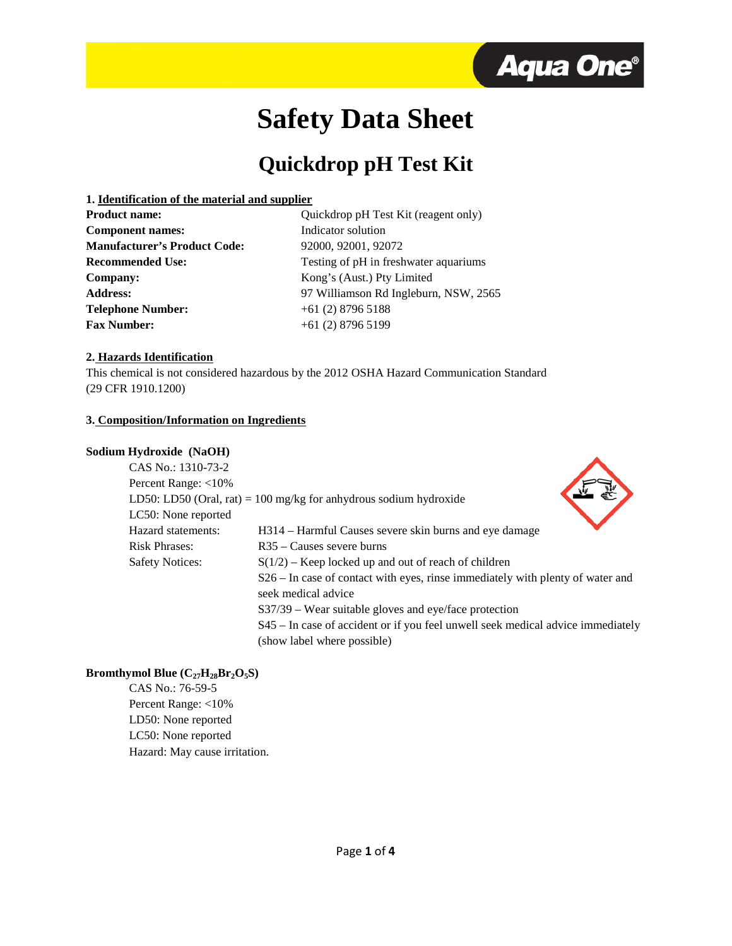

# **Safety Data Sheet**

# **Quickdrop pH Test Kit**

#### **1. Identification of the material and supplier**

Quickdrop pH Test Kit (reagent only) Indicator solution **Manufacturer's Product Code:** 92000, 92001, 92072 Testing of pH in freshwater aquariums Kong's (Aust.) Pty Limited **Address:** 97 Williamson Rd Ingleburn, NSW, 2565 **Telephone Number:** +61 (2) 8796 5188 **Fax Number:** +61 (2) 8796 5199

# **2. Hazards Identification**

This chemical is not considered hazardous by the 2012 OSHA Hazard Communication Standard (29 CFR 1910.1200)

# **3. Composition/Information on Ingredients**

# **Sodium Hydroxide (NaOH)**

| my an oxide (1 \\\ 0.11) |                                                                                 |
|--------------------------|---------------------------------------------------------------------------------|
| CAS No.: 1310-73-2       |                                                                                 |
| Percent Range: $<$ 10%   |                                                                                 |
|                          | LD50: LD50 (Oral, rat) = 100 mg/kg for anhydrous sodium hydroxide               |
| LC50: None reported      |                                                                                 |
| Hazard statements:       | H314 – Harmful Causes severe skin burns and eye damage                          |
| <b>Risk Phrases:</b>     | $R35 - C$ auses severe burns                                                    |
| <b>Safety Notices:</b>   | $S(1/2)$ – Keep locked up and out of reach of children                          |
|                          | S26 – In case of contact with eyes, rinse immediately with plenty of water and  |
|                          | seek medical advice                                                             |
|                          | $S37/39$ – Wear suitable gloves and eye/face protection                         |
|                          | S45 – In case of accident or if you feel unwell seek medical advice immediately |
|                          | (show label where possible)                                                     |

# **Bromthymol Blue**  $(C_{27}H_{28}Br_2O_5S)$

CAS No.: 76-59-5 Percent Range: <10% LD50: None reported LC50: None reported Hazard: May cause irritation.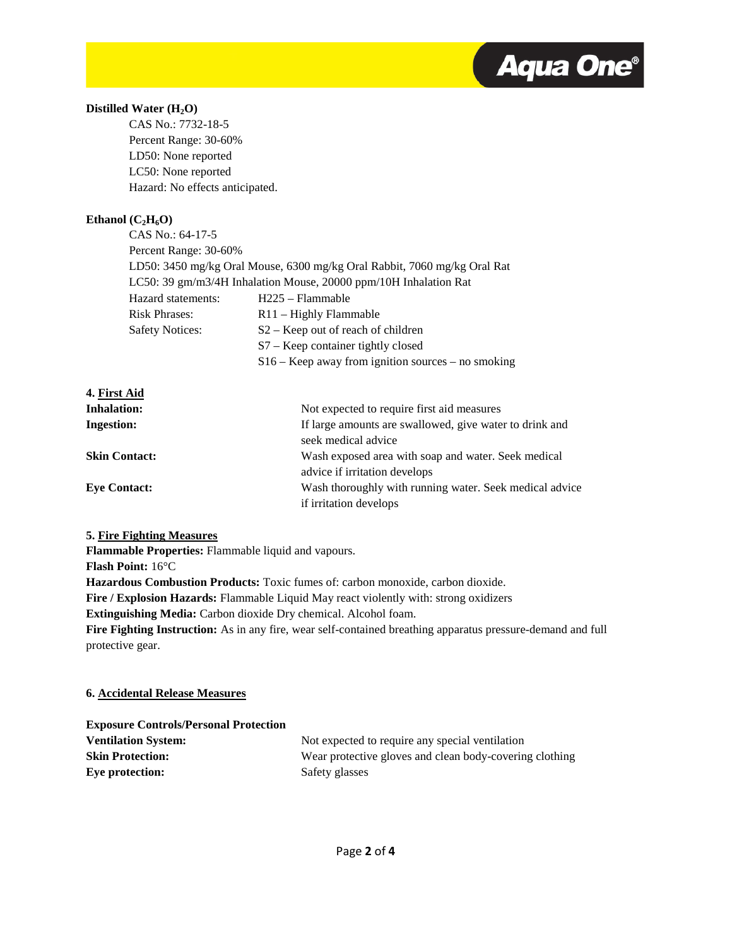

# Distilled Water (H<sub>2</sub>O)

CAS No.: 7732-18-5 Percent Range: 30-60% LD50: None reported LC50: None reported Hazard: No effects anticipated.

# Ethanol  $(C_2H_6O)$

| CAS No.: 64-17-5       |                                                                          |
|------------------------|--------------------------------------------------------------------------|
| Percent Range: 30-60%  |                                                                          |
|                        | LD50: 3450 mg/kg Oral Mouse, 6300 mg/kg Oral Rabbit, 7060 mg/kg Oral Rat |
|                        | LC50: 39 gm/m3/4H Inhalation Mouse, 20000 ppm/10H Inhalation Rat         |
| Hazard statements:     | $H225 - Flammable$                                                       |
| <b>Risk Phrases:</b>   | $R11 -$ Highly Flammable                                                 |
| <b>Safety Notices:</b> | S <sub>2</sub> – Keep out of reach of children                           |
|                        | $S7 - Keep container tightly closed$                                     |
|                        | $S16 - Keep$ away from ignition sources – no smoking                     |

**4. First Aid Inhalation:** Not expected to require first aid measures **Ingestion:** If large amounts are swallowed, give water to drink and seek medical advice **Skin Contact:** Wash exposed area with soap and water. Seek medical advice if irritation develops **Eye Contact:** Wash thoroughly with running water. Seek medical advice if irritation develops

# **5. Fire Fighting Measures**

**Flammable Properties:** Flammable liquid and vapours.

**Flash Point:** 16°C

**Hazardous Combustion Products:** Toxic fumes of: carbon monoxide, carbon dioxide.

**Fire / Explosion Hazards:** Flammable Liquid May react violently with: strong oxidizers

**Extinguishing Media:** Carbon dioxide Dry chemical. Alcohol foam.

**Fire Fighting Instruction:** As in any fire, wear self-contained breathing apparatus pressure-demand and full protective gear.

# **6. Accidental Release Measures**

| <b>Exposure Controls/Personal Protection</b> |                                                         |
|----------------------------------------------|---------------------------------------------------------|
| <b>Ventilation System:</b>                   | Not expected to require any special ventilation         |
| <b>Skin Protection:</b>                      | Wear protective gloves and clean body-covering clothing |
| Eye protection:                              | Safety glasses                                          |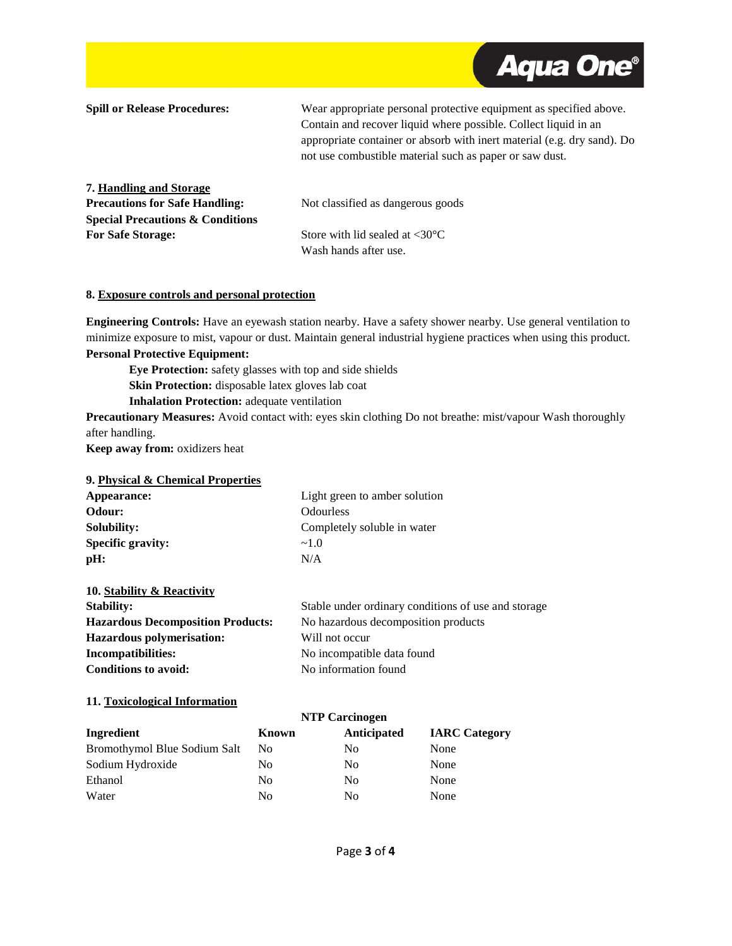

**Spill or Release Procedures:** Wear appropriate personal protective equipment as specified above. Contain and recover liquid where possible. Collect liquid in an appropriate container or absorb with inert material (e.g. dry sand). Do not use combustible material such as paper or saw dust. **7. Handling and Storage Precautions for Safe Handling:** Not classified as dangerous goods **Special Precautions & Conditions For Safe Storage:** Store with lid sealed at <30°C Wash hands after use.

#### **8. Exposure controls and personal protection**

**Engineering Controls:** Have an eyewash station nearby. Have a safety shower nearby. Use general ventilation to minimize exposure to mist, vapour or dust. Maintain general industrial hygiene practices when using this product.

# **Personal Protective Equipment:**

**Eye Protection:** safety glasses with top and side shields **Skin Protection:** disposable latex gloves lab coat **Inhalation Protection:** adequate ventilation

**Precautionary Measures:** Avoid contact with: eyes skin clothing Do not breathe: mist/vapour Wash thoroughly after handling.

**Keep away from:** oxidizers heat

# **9. Physical & Chemical Properties**

| Appearance:              | Light green to amber solution |  |
|--------------------------|-------------------------------|--|
| Odour:                   | Odourless                     |  |
| Solubility:              | Completely soluble in water   |  |
| <b>Specific gravity:</b> | $\sim$ 1 0                    |  |
| pH:                      | N/A                           |  |

| Stable under ordinary conditions of use and storage |
|-----------------------------------------------------|
| No hazardous decomposition products                 |
| Will not occur                                      |
| No incompatible data found                          |
| No information found                                |
|                                                     |

#### **11. Toxicological Information**

|                              | <b>NTP Carcinogen</b> |             |                      |
|------------------------------|-----------------------|-------------|----------------------|
| Ingredient                   | Known                 | Anticipated | <b>IARC</b> Category |
| Bromothymol Blue Sodium Salt | N <sub>0</sub>        | No          | None                 |
| Sodium Hydroxide             | No.                   | No          | None                 |
| Ethanol                      | N <sub>0</sub>        | No          | None                 |
| Water                        | N <sub>0</sub>        | No          | None                 |